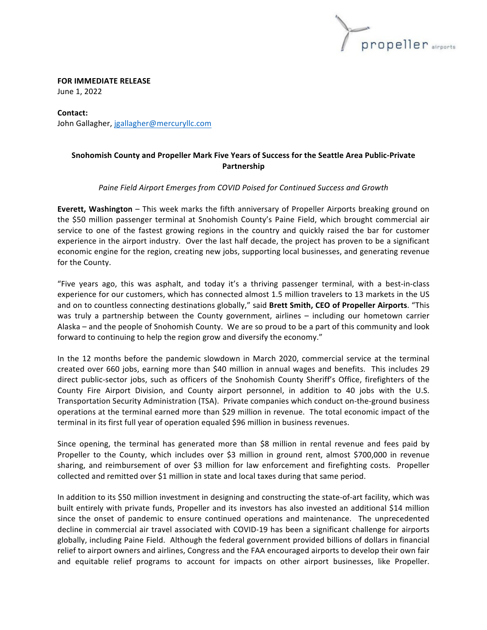

**FOR IMMEDIATE RELEASE** June 1, 2022

**Contact:** John Gallagher, jgallagher@mercuryllc.com

## **Snohomish County and Propeller Mark Five Years of Success for the Seattle Area Public-Private Partnership**

## Paine Field Airport Emerges from COVID Poised for Continued Success and Growth

**Everett, Washington** – This week marks the fifth anniversary of Propeller Airports breaking ground on the \$50 million passenger terminal at Snohomish County's Paine Field, which brought commercial air service to one of the fastest growing regions in the country and quickly raised the bar for customer experience in the airport industry. Over the last half decade, the project has proven to be a significant economic engine for the region, creating new jobs, supporting local businesses, and generating revenue for the County.

"Five years ago, this was asphalt, and today it's a thriving passenger terminal, with a best-in-class experience for our customers, which has connected almost 1.5 million travelers to 13 markets in the US and on to countless connecting destinations globally," said Brett Smith, CEO of Propeller Airports. "This was truly a partnership between the County government, airlines - including our hometown carrier Alaska – and the people of Snohomish County. We are so proud to be a part of this community and look forward to continuing to help the region grow and diversify the economy."

In the 12 months before the pandemic slowdown in March 2020, commercial service at the terminal created over 660 jobs, earning more than \$40 million in annual wages and benefits. This includes 29 direct public-sector jobs, such as officers of the Snohomish County Sheriff's Office, firefighters of the County Fire Airport Division, and County airport personnel, in addition to 40 jobs with the U.S. Transportation Security Administration (TSA). Private companies which conduct on-the-ground business operations at the terminal earned more than \$29 million in revenue. The total economic impact of the terminal in its first full year of operation equaled \$96 million in business revenues.

Since opening, the terminal has generated more than \$8 million in rental revenue and fees paid by Propeller to the County, which includes over \$3 million in ground rent, almost \$700,000 in revenue sharing, and reimbursement of over \$3 million for law enforcement and firefighting costs. Propeller collected and remitted over \$1 million in state and local taxes during that same period.

In addition to its \$50 million investment in designing and constructing the state-of-art facility, which was built entirely with private funds, Propeller and its investors has also invested an additional \$14 million since the onset of pandemic to ensure continued operations and maintenance. The unprecedented decline in commercial air travel associated with COVID-19 has been a significant challenge for airports globally, including Paine Field. Although the federal government provided billions of dollars in financial relief to airport owners and airlines, Congress and the FAA encouraged airports to develop their own fair and equitable relief programs to account for impacts on other airport businesses, like Propeller.